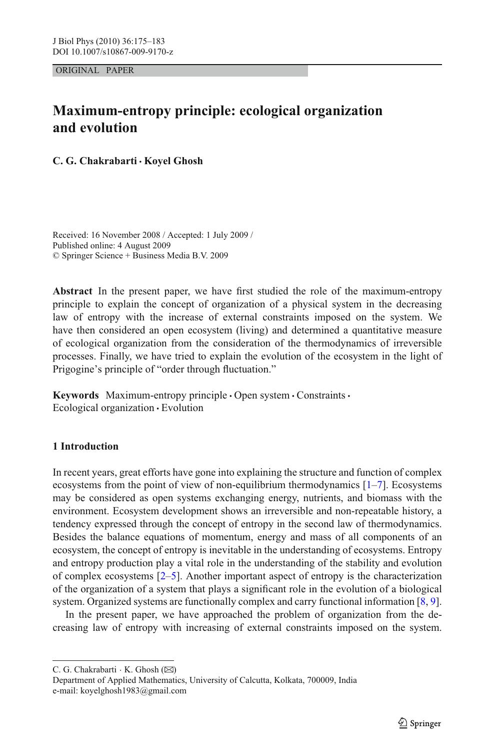ORIGINAL PAPER

# **Maximum-entropy principle: ecological organization and evolution**

**C. G. Chakrabarti· Koyel Ghosh**

Received: 16 November 2008 / Accepted: 1 July 2009 / Published online: 4 August 2009 © Springer Science + Business Media B.V. 2009

**Abstract** In the present paper, we have first studied the role of the maximum-entropy principle to explain the concept of organization of a physical system in the decreasing law of entropy with the increase of external constraints imposed on the system. We have then considered an open ecosystem (living) and determined a quantitative measure of ecological organization from the consideration of the thermodynamics of irreversible processes. Finally, we have tried to explain the evolution of the ecosystem in the light of Prigogine's principle of "order through fluctuation."

**Keywords** Maximum-entropy principle **·** Open system **·**Constraints**·** Ecological organization **·** Evolution

## **1 Introduction**

In recent years, great efforts have gone into explaining the structure and function of complex ecosystems from the point of view of non-equilibrium thermodynamics  $[1–7]$ . Ecosystems may be considered as open systems exchanging energy, nutrients, and biomass with the environment. Ecosystem development shows an irreversible and non-repeatable history, a tendency expressed through the concept of entropy in the second law of thermodynamics. Besides the balance equations of momentum, energy and mass of all components of an ecosystem, the concept of entropy is inevitable in the understanding of ecosystems. Entropy and entropy production play a vital role in the understanding of the stability and evolution of complex ecosystems [\[2–5\]](#page-7-0). Another important aspect of entropy is the characterization of the organization of a system that plays a significant role in the evolution of a biological system. Organized systems are functionally complex and carry functional information [\[8](#page-7-0), [9](#page-7-0)].

In the present paper, we have approached the problem of organization from the decreasing law of entropy with increasing of external constraints imposed on the system.

C. G. Chakrabarti  $\cdot$  K. Ghosh ( $\boxtimes$ )

Department of Applied Mathematics, University of Calcutta, Kolkata, 700009, India e-mail: koyelghosh1983@gmail.com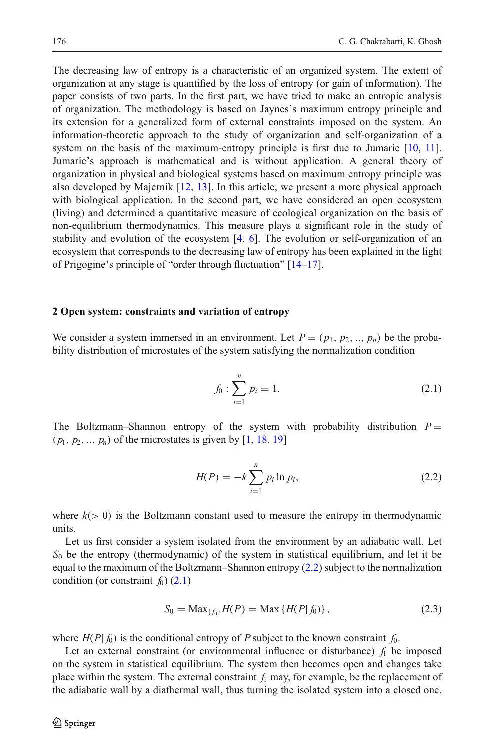<span id="page-1-0"></span>The decreasing law of entropy is a characteristic of an organized system. The extent of organization at any stage is quantified by the loss of entropy (or gain of information). The paper consists of two parts. In the first part, we have tried to make an entropic analysis of organization. The methodology is based on Jaynes's maximum entropy principle and its extension for a generalized form of external constraints imposed on the system. An information-theoretic approach to the study of organization and self-organization of a system on the basis of the maximum-entropy principle is first due to Jumarie [\[10,](#page-7-0) [11](#page-7-0)]. Jumarie's approach is mathematical and is without application. A general theory of organization in physical and biological systems based on maximum entropy principle was also developed by Majernik [\[12,](#page-7-0) [13](#page-7-0)]. In this article, we present a more physical approach with biological application. In the second part, we have considered an open ecosystem (living) and determined a quantitative measure of ecological organization on the basis of non-equilibrium thermodynamics. This measure plays a significant role in the study of stability and evolution of the ecosystem  $[4, 6]$  $[4, 6]$  $[4, 6]$  $[4, 6]$ . The evolution or self-organization of an ecosystem that corresponds to the decreasing law of entropy has been explained in the light of Prigogine's principle of "order through fluctuation" [\[14–17](#page-8-0)].

#### **2 Open system: constraints and variation of entropy**

We consider a system immersed in an environment. Let  $P = (p_1, p_2, ..., p_n)$  be the probability distribution of microstates of the system satisfying the normalization condition

$$
f_0: \sum_{i=1}^n p_i = 1.
$$
 (2.1)

The Boltzmann–Shannon entropy of the system with probability distribution  $P =$  $(p_1, p_2, \ldots, p_n)$  of the microstates is given by [\[1](#page-7-0), [18,](#page-8-0) [19\]](#page-8-0)

$$
H(P) = -k \sum_{i=1}^{n} p_i \ln p_i,
$$
 (2.2)

where  $k(> 0)$  is the Boltzmann constant used to measure the entropy in thermodynamic units.

Let us first consider a system isolated from the environment by an adiabatic wall. Let  $S_0$  be the entropy (thermodynamic) of the system in statistical equilibrium, and let it be equal to the maximum of the Boltzmann–Shannon entropy  $(2.2)$  subject to the normalization condition (or constraint  $f_0$ ) (2.1)

$$
S_0 = \text{Max}_{\{f_0\}} H(P) = \text{Max}\left\{H(P|f_0)\right\},\tag{2.3}
$$

where  $H(P|f_0)$  is the conditional entropy of P subject to the known constraint  $f_0$ .

Let an external constraint (or environmental influence or disturbance)  $f_1$  be imposed on the system in statistical equilibrium. The system then becomes open and changes take place within the system. The external constraint  $f_1$  may, for example, be the replacement of the adiabatic wall by a diathermal wall, thus turning the isolated system into a closed one.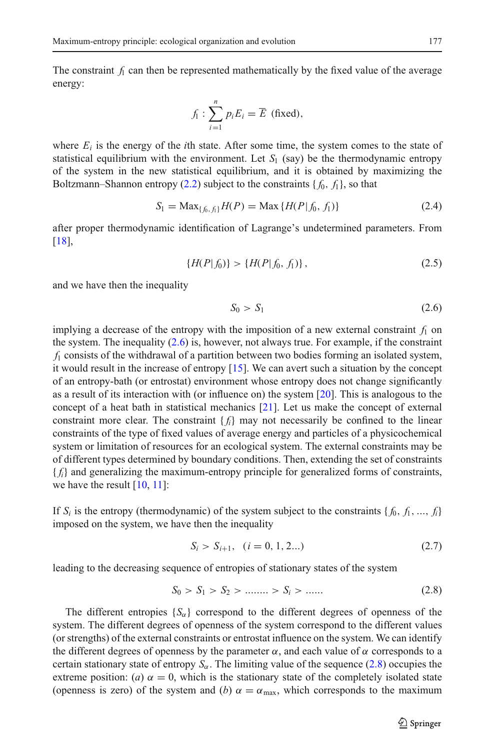<span id="page-2-0"></span>The constraint  $f_1$  can then be represented mathematically by the fixed value of the average energy:

$$
f_1: \sum_{i=1}^n p_i E_i = \overline{E} \text{ (fixed)},
$$

where  $E_i$  is the energy of the *i*th state. After some time, the system comes to the state of statistical equilibrium with the environment. Let  $S_1$  (say) be the thermodynamic entropy of the system in the new statistical equilibrium, and it is obtained by maximizing the Boltzmann–Shannon entropy [\(2.2\)](#page-1-0) subject to the constraints  $\{f_0, f_1\}$ , so that

$$
S_1 = \text{Max}_{\{f_0, f_1\}} H(P) = \text{Max}\{H(P|f_0, f_1)\}\tag{2.4}
$$

after proper thermodynamic identification of Lagrange's undetermined parameters. From [\[18](#page-8-0)],

$$
\{H(P|f_0)\} > \{H(P|f_0, f_1)\},\tag{2.5}
$$

and we have then the inequality

$$
S_0 > S_1 \tag{2.6}
$$

implying a decrease of the entropy with the imposition of a new external constraint  $f_1$  on the system. The inequality  $(2.6)$  is, however, not always true. For example, if the constraint *f*<sup>1</sup> consists of the withdrawal of a partition between two bodies forming an isolated system, it would result in the increase of entropy [\[15\]](#page-8-0). We can avert such a situation by the concept of an entropy-bath (or entrostat) environment whose entropy does not change significantly as a result of its interaction with (or influence on) the system [\[20\]](#page-8-0). This is analogous to the concept of a heat bath in statistical mechanics [\[21\]](#page-8-0). Let us make the concept of external constraint more clear. The constraint  $\{f_i\}$  may not necessarily be confined to the linear constraints of the type of fixed values of average energy and particles of a physicochemical system or limitation of resources for an ecological system. The external constraints may be of different types determined by boundary conditions. Then, extending the set of constraints { *fi*} and generalizing the maximum-entropy principle for generalized forms of constraints, we have the result  $[10, 11]$  $[10, 11]$  $[10, 11]$ :

If  $S_i$  is the entropy (thermodynamic) of the system subject to the constraints {  $f_0$ ,  $f_1$ , ...,  $f_i$ } imposed on the system, we have then the inequality

$$
S_i > S_{i+1}, \quad (i = 0, 1, 2...)
$$
\n
$$
(2.7)
$$

leading to the decreasing sequence of entropies of stationary states of the system

$$
S_0 > S_1 > S_2 > \dots \dots > S_i > \dots \dots \tag{2.8}
$$

The different entropies  $\{S_{\alpha}\}\$  correspond to the different degrees of openness of the system. The different degrees of openness of the system correspond to the different values (or strengths) of the external constraints or entrostat influence on the system. We can identify the different degrees of openness by the parameter  $\alpha$ , and each value of  $\alpha$  corresponds to a certain stationary state of entropy  $S_\alpha$ . The limiting value of the sequence (2.8) occupies the extreme position: (*a*)  $\alpha = 0$ , which is the stationary state of the completely isolated state (openness is zero) of the system and (*b*)  $\alpha = \alpha_{\text{max}}$ , which corresponds to the maximum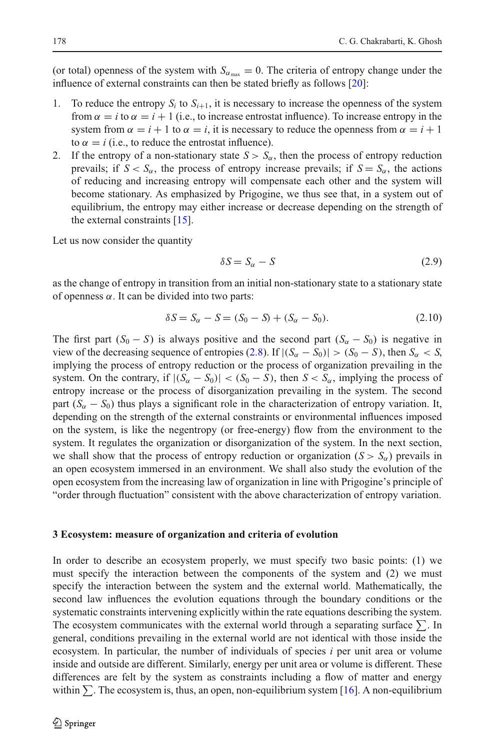(or total) openness of the system with  $S_{\alpha_{\text{max}}} = 0$ . The criteria of entropy change under the influence of external constraints can then be stated briefly as follows [\[20\]](#page-8-0):

- 1. To reduce the entropy  $S_i$  to  $S_{i+1}$ , it is necessary to increase the openness of the system from  $\alpha = i$  to  $\alpha = i + 1$  (i.e., to increase entrostat influence). To increase entropy in the system from  $\alpha = i + 1$  to  $\alpha = i$ , it is necessary to reduce the openness from  $\alpha = i + 1$ to  $\alpha = i$  (i.e., to reduce the entrostat influence).
- 2. If the entropy of a non-stationary state  $S > S_{\alpha}$ , then the process of entropy reduction prevails; if  $S < S_\alpha$ , the process of entropy increase prevails; if  $S = S_\alpha$ , the actions of reducing and increasing entropy will compensate each other and the system will become stationary. As emphasized by Prigogine, we thus see that, in a system out of equilibrium, the entropy may either increase or decrease depending on the strength of the external constraints [\[15\]](#page-8-0).

Let us now consider the quantity

$$
\delta S = S_{\alpha} - S \tag{2.9}
$$

as the change of entropy in transition from an initial non-stationary state to a stationary state of openness  $\alpha$ . It can be divided into two parts:

$$
\delta S = S_{\alpha} - S = (S_0 - S) + (S_{\alpha} - S_0). \tag{2.10}
$$

The first part  $(S_0 - S)$  is always positive and the second part  $(S_\alpha - S_0)$  is negative in view of the decreasing sequence of entropies [\(2.8\)](#page-2-0). If  $|(S_{\alpha} - S_0)| > (S_0 - S)$ , then  $S_{\alpha} < S$ , implying the process of entropy reduction or the process of organization prevailing in the system. On the contrary, if  $|(S_{\alpha} - S_0)| < (S_0 - S)$ , then  $S < S_{\alpha}$ , implying the process of entropy increase or the process of disorganization prevailing in the system. The second part  $(S_\alpha - S_0)$  thus plays a significant role in the characterization of entropy variation. It, depending on the strength of the external constraints or environmental influences imposed on the system, is like the negentropy (or free-energy) flow from the environment to the system. It regulates the organization or disorganization of the system. In the next section, we shall show that the process of entropy reduction or organization  $(S > S_{\alpha})$  prevails in an open ecosystem immersed in an environment. We shall also study the evolution of the open ecosystem from the increasing law of organization in line with Prigogine's principle of "order through fluctuation" consistent with the above characterization of entropy variation.

#### **3 Ecosystem: measure of organization and criteria of evolution**

In order to describe an ecosystem properly, we must specify two basic points: (1) we must specify the interaction between the components of the system and (2) we must specify the interaction between the system and the external world. Mathematically, the second law influences the evolution equations through the boundary conditions or the systematic constraints intervening explicitly within the rate equations describing the system. The ecosystem communicates with the external world through a separating surface  $\Sigma$ . In general, conditions prevailing in the external world are not identical with those inside the ecosystem. In particular, the number of individuals of species *i* per unit area or volume inside and outside are different. Similarly, energy per unit area or volume is different. These differences are felt by the system as constraints including a flow of matter and energy within  $\Sigma$ . The ecosystem is, thus, an open, non-equilibrium system [\[16\]](#page-8-0). A non-equilibrium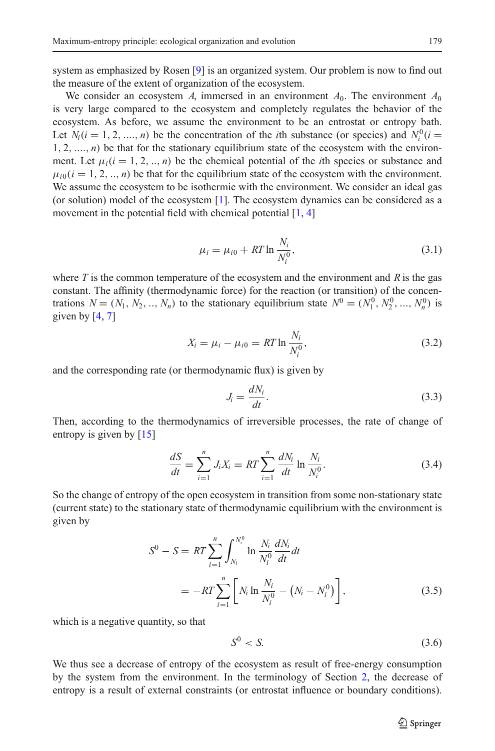<span id="page-4-0"></span>system as emphasized by Rosen [\[9\]](#page-7-0) is an organized system. Our problem is now to find out the measure of the extent of organization of the ecosystem.

We consider an ecosystem *A*, immersed in an environment  $A_0$ . The environment  $A_0$ is very large compared to the ecosystem and completely regulates the behavior of the ecosystem. As before, we assume the environment to be an entrostat or entropy bath. Let  $N_i$  ( $i = 1, 2, ..., n$ ) be the concentration of the *i*th substance (or species) and  $N_i^0$  ( $i =$  $1, 2, \ldots, n$ ) be that for the stationary equilibrium state of the ecosystem with the environment. Let  $\mu_i$  ( $i = 1, 2, ..., n$ ) be the chemical potential of the *i*th species or substance and  $\mu_{i0}(i = 1, 2, ..., n)$  be that for the equilibrium state of the ecosystem with the environment. We assume the ecosystem to be isothermic with the environment. We consider an ideal gas (or solution) model of the ecosystem [\[1\]](#page-7-0). The ecosystem dynamics can be considered as a movement in the potential field with chemical potential [\[1](#page-7-0), [4\]](#page-7-0)

$$
\mu_i = \mu_{i0} + RT \ln \frac{N_i}{N_i^0},
$$
\n(3.1)

where  $T$  is the common temperature of the ecosystem and the environment and  $R$  is the gas constant. The affinity (thermodynamic force) for the reaction (or transition) of the concentrations  $N = (N_1, N_2, ..., N_n)$  to the stationary equilibrium state  $N^0 = (N_1^0, N_2^0, ..., N_n^0)$  is given by  $[4, 7]$  $[4, 7]$  $[4, 7]$ 

$$
X_i = \mu_i - \mu_{i0} = RT \ln \frac{N_i}{N_i^0},
$$
\n(3.2)

and the corresponding rate (or thermodynamic flux) is given by

$$
J_i = \frac{dN_i}{dt}.\tag{3.3}
$$

Then, according to the thermodynamics of irreversible processes, the rate of change of entropy is given by [\[15\]](#page-8-0)

$$
\frac{dS}{dt} = \sum_{i=1}^{n} J_i X_i = RT \sum_{i=1}^{n} \frac{dN_i}{dt} \ln \frac{N_i}{N_i^0}.
$$
\n(3.4)

So the change of entropy of the open ecosystem in transition from some non-stationary state (current state) to the stationary state of thermodynamic equilibrium with the environment is given by

$$
S^{0} - S = RT \sum_{i=1}^{n} \int_{N_{i}}^{N_{i}^{0}} \ln \frac{N_{i}}{N_{i}^{0}} \frac{dN_{i}}{dt} dt
$$
  
= 
$$
-RT \sum_{i=1}^{n} \left[ N_{i} \ln \frac{N_{i}}{N_{i}^{0}} - (N_{i} - N_{i}^{0}) \right],
$$
(3.5)

which is a negative quantity, so that

$$
S^0 < S. \tag{3.6}
$$

We thus see a decrease of entropy of the ecosystem as result of free-energy consumption by the system from the environment. In the terminology of Section [2,](#page-1-0) the decrease of entropy is a result of external constraints (or entrostat influence or boundary conditions).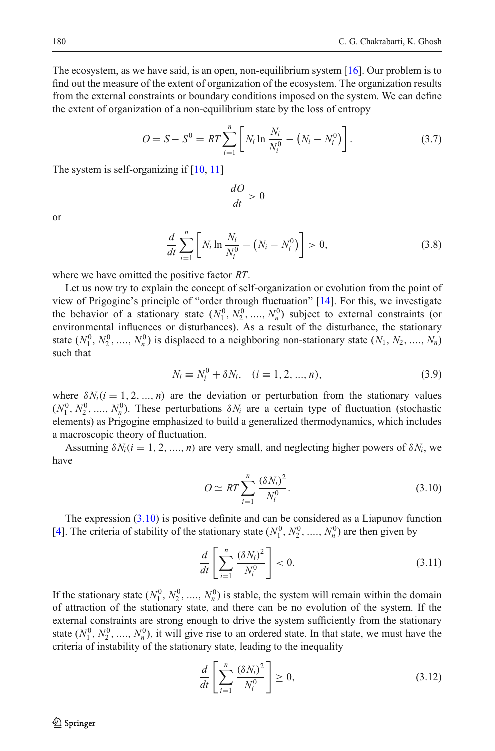The ecosystem, as we have said, is an open, non-equilibrium system  $[16]$  $[16]$ . Our problem is to find out the measure of the extent of organization of the ecosystem. The organization results from the external constraints or boundary conditions imposed on the system. We can define the extent of organization of a non-equilibrium state by the loss of entropy

$$
O = S - S^{0} = RT \sum_{i=1}^{n} \left[ N_{i} \ln \frac{N_{i}}{N_{i}^{0}} - (N_{i} - N_{i}^{0}) \right].
$$
 (3.7)

The system is self-organizing if [\[10,](#page-7-0) [11\]](#page-7-0)

$$
\frac{dO}{dt} > 0
$$

or

$$
\frac{d}{dt} \sum_{i=1}^{n} \left[ N_i \ln \frac{N_i}{N_i^0} - (N_i - N_i^0) \right] > 0,
$$
\n(3.8)

where we have omitted the positive factor *RT*.

Let us now try to explain the concept of self-organization or evolution from the point of view of Prigogine's principle of "order through fluctuation" [\[14\]](#page-8-0). For this, we investigate the behavior of a stationary state  $(N_1^0, N_2^0, \ldots, N_n^0)$  subject to external constraints (or environmental influences or disturbances). As a result of the disturbance, the stationary state  $(N_1^0, N_2^0, \ldots, N_n^0)$  is displaced to a neighboring non-stationary state  $(N_1, N_2, \ldots, N_n)$ such that

$$
N_i = N_i^0 + \delta N_i, \quad (i = 1, 2, ..., n),
$$
\n(3.9)

where  $\delta N_i$  ( $i = 1, 2, ..., n$ ) are the deviation or perturbation from the stationary values  $(N_1^0, N_2^0, \ldots, N_n^0)$ . These perturbations  $\delta N_i$  are a certain type of fluctuation (stochastic elements) as Prigogine emphasized to build a generalized thermodynamics, which includes a macroscopic theory of fluctuation.

Assuming  $\delta N_i$  ( $i = 1, 2, ..., n$ ) are very small, and neglecting higher powers of  $\delta N_i$ , we have

$$
O \simeq RT \sum_{i=1}^{n} \frac{(\delta N_i)^2}{N_i^0}.
$$
\n(3.10)

The expression  $(3.10)$  is positive definite and can be considered as a Liapunov function [\[4\]](#page-7-0). The criteria of stability of the stationary state  $(N_1^0, N_2^0, \ldots, N_n^0)$  are then given by

$$
\frac{d}{dt} \left[ \sum_{i=1}^{n} \frac{(\delta N_i)^2}{N_i^0} \right] < 0. \tag{3.11}
$$

If the stationary state  $(N_1^0, N_2^0, \ldots, N_n^0)$  is stable, the system will remain within the domain of attraction of the stationary state, and there can be no evolution of the system. If the external constraints are strong enough to drive the system sufficiently from the stationary state  $(N_1^0, N_2^0, \ldots, N_n^0)$ , it will give rise to an ordered state. In that state, we must have the criteria of instability of the stationary state, leading to the inequality

$$
\frac{d}{dt} \left[ \sum_{i=1}^{n} \frac{(\delta N_i)^2}{N_i^0} \right] \ge 0,
$$
\n(3.12)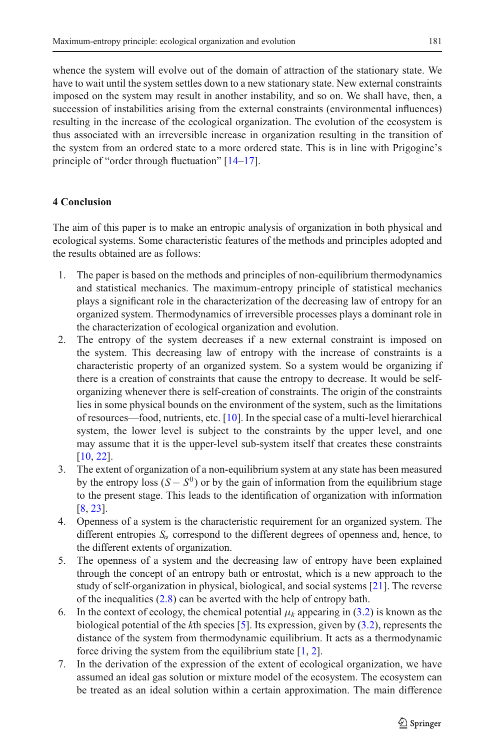principle of "order through fluctuation" [\[14–17\]](#page-8-0).

## **4 Conclusion**

The aim of this paper is to make an entropic analysis of organization in both physical and ecological systems. Some characteristic features of the methods and principles adopted and the results obtained are as follows:

- 1. The paper is based on the methods and principles of non-equilibrium thermodynamics and statistical mechanics. The maximum-entropy principle of statistical mechanics plays a significant role in the characterization of the decreasing law of entropy for an organized system. Thermodynamics of irreversible processes plays a dominant role in the characterization of ecological organization and evolution.
- 2. The entropy of the system decreases if a new external constraint is imposed on the system. This decreasing law of entropy with the increase of constraints is a characteristic property of an organized system. So a system would be organizing if there is a creation of constraints that cause the entropy to decrease. It would be selforganizing whenever there is self-creation of constraints. The origin of the constraints lies in some physical bounds on the environment of the system, such as the limitations of resources—food, nutrients, etc. [\[10\]](#page-7-0). In the special case of a multi-level hierarchical system, the lower level is subject to the constraints by the upper level, and one may assume that it is the upper-level sub-system itself that creates these constraints [\[10,](#page-7-0) [22](#page-8-0)].
- 3. The extent of organization of a non-equilibrium system at any state has been measured by the entropy loss  $(S - S^0)$  or by the gain of information from the equilibrium stage to the present stage. This leads to the identification of organization with information [\[8](#page-7-0), [23](#page-8-0)].
- 4. Openness of a system is the characteristic requirement for an organized system. The different entropies  $S_\alpha$  correspond to the different degrees of openness and, hence, to the different extents of organization.
- 5. The openness of a system and the decreasing law of entropy have been explained through the concept of an entropy bath or entrostat, which is a new approach to the study of self-organization in physical, biological, and social systems [\[21\]](#page-8-0). The reverse of the inequalities [\(2.8\)](#page-2-0) can be averted with the help of entropy bath.
- 6. In the context of ecology, the chemical potential  $\mu_k$  appearing in [\(3.2\)](#page-4-0) is known as the biological potential of the *k*th species [\[5](#page-7-0)]. Its expression, given by [\(3.2\)](#page-4-0), represents the distance of the system from thermodynamic equilibrium. It acts as a thermodynamic force driving the system from the equilibrium state  $[1, 2]$  $[1, 2]$  $[1, 2]$  $[1, 2]$ .
- 7. In the derivation of the expression of the extent of ecological organization, we have assumed an ideal gas solution or mixture model of the ecosystem. The ecosystem can be treated as an ideal solution within a certain approximation. The main difference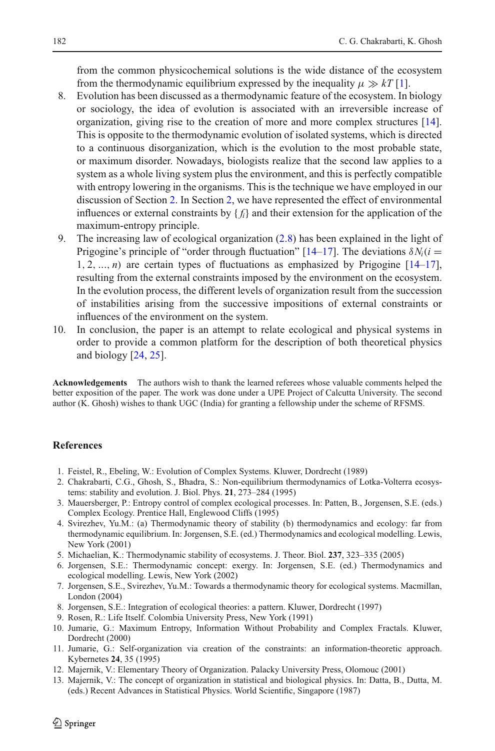<span id="page-7-0"></span>from the common physicochemical solutions is the wide distance of the ecosystem from the thermodynamic equilibrium expressed by the inequality  $\mu \gg kT$  [1].

- 8. Evolution has been discussed as a thermodynamic feature of the ecosystem. In biology or sociology, the idea of evolution is associated with an irreversible increase of organization, giving rise to the creation of more and more complex structures [\[14](#page-8-0)]. This is opposite to the thermodynamic evolution of isolated systems, which is directed to a continuous disorganization, which is the evolution to the most probable state, or maximum disorder. Nowadays, biologists realize that the second law applies to a system as a whole living system plus the environment, and this is perfectly compatible with entropy lowering in the organisms. This is the technique we have employed in our discussion of Section [2.](#page-1-0) In Section [2,](#page-1-0) we have represented the effect of environmental influences or external constraints by  $\{f_i\}$  and their extension for the application of the maximum-entropy principle.
- 9. The increasing law of ecological organization [\(2.8\)](#page-2-0) has been explained in the light of Prigogine's principle of "order through fluctuation" [\[14–17\]](#page-8-0). The deviations  $\delta N_i(i =$  $1, 2, \ldots, n$ ) are certain types of fluctuations as emphasized by Prigogine  $[14-17]$ , resulting from the external constraints imposed by the environment on the ecosystem. In the evolution process, the different levels of organization result from the succession of instabilities arising from the successive impositions of external constraints or influences of the environment on the system.
- 10. In conclusion, the paper is an attempt to relate ecological and physical systems in order to provide a common platform for the description of both theoretical physics and biology [\[24](#page-8-0), [25\]](#page-8-0).

**Acknowledgements** The authors wish to thank the learned referees whose valuable comments helped the better exposition of the paper. The work was done under a UPE Project of Calcutta University. The second author (K. Ghosh) wishes to thank UGC (India) for granting a fellowship under the scheme of RFSMS.

### **References**

- 1. Feistel, R., Ebeling, W.: Evolution of Complex Systems. Kluwer, Dordrecht (1989)
- 2. Chakrabarti, C.G., Ghosh, S., Bhadra, S.: Non-equilibrium thermodynamics of Lotka-Volterra ecosystems: stability and evolution. J. Biol. Phys. **21**, 273–284 (1995)
- 3. Mauersberger, P.: Entropy control of complex ecological processes. In: Patten, B., Jorgensen, S.E. (eds.) Complex Ecology. Prentice Hall, Englewood Cliffs (1995)
- 4. Svirezhev, Yu.M.: (a) Thermodynamic theory of stability (b) thermodynamics and ecology: far from thermodynamic equilibrium. In: Jorgensen, S.E. (ed.) Thermodynamics and ecological modelling. Lewis, New York (2001)
- 5. Michaelian, K.: Thermodynamic stability of ecosystems. J. Theor. Biol. **237**, 323–335 (2005)
- 6. Jorgensen, S.E.: Thermodynamic concept: exergy. In: Jorgensen, S.E. (ed.) Thermodynamics and ecological modelling. Lewis, New York (2002)
- 7. Jorgensen, S.E., Svirezhev, Yu.M.: Towards a thermodynamic theory for ecological systems. Macmillan, London (2004)
- 8. Jorgensen, S.E.: Integration of ecological theories: a pattern. Kluwer, Dordrecht (1997)
- 9. Rosen, R.: Life Itself. Colombia University Press, New York (1991)
- 10. Jumarie, G.: Maximum Entropy, Information Without Probability and Complex Fractals. Kluwer, Dordrecht (2000)
- 11. Jumarie, G.: Self-organization via creation of the constraints: an information-theoretic approach. Kybernetes **24**, 35 (1995)
- 12. Majernik, V.: Elementary Theory of Organization. Palacky University Press, Olomouc (2001)
- 13. Majernik, V.: The concept of organization in statistical and biological physics. In: Datta, B., Dutta, M. (eds.) Recent Advances in Statistical Physics. World Scientific, Singapore (1987)